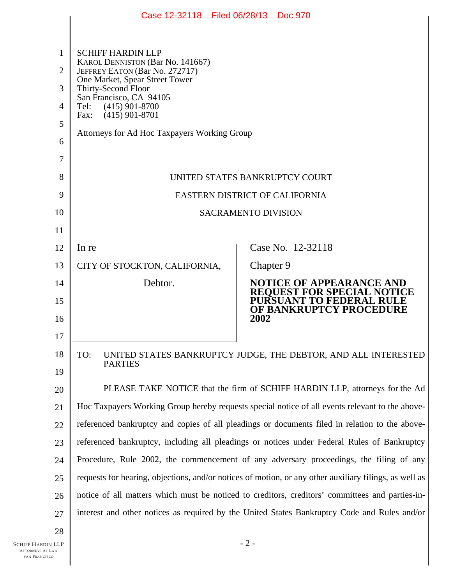|                | Case 12-32118 Filed 06/28/13 Doc 970                                                                   |                                                                                                 |
|----------------|--------------------------------------------------------------------------------------------------------|-------------------------------------------------------------------------------------------------|
|                |                                                                                                        |                                                                                                 |
| 1              | <b>SCHIFF HARDIN LLP</b><br>KAROL DENNISTON (Bar No. 141667)                                           |                                                                                                 |
| $\overline{2}$ | JEFFREY EATON (Bar No. 272717)<br>One Market, Spear Street Tower                                       |                                                                                                 |
| 3              | Thirty-Second Floor<br>San Francisco, CA 94105                                                         |                                                                                                 |
| 4              | $(415)$ 901-8700<br>Tel:<br>$(415)$ 901-8701<br>Fax:                                                   |                                                                                                 |
| 5              | Attorneys for Ad Hoc Taxpayers Working Group                                                           |                                                                                                 |
| 6              |                                                                                                        |                                                                                                 |
| 7              |                                                                                                        |                                                                                                 |
| 8              |                                                                                                        | UNITED STATES BANKRUPTCY COURT                                                                  |
| 9              |                                                                                                        | EASTERN DISTRICT OF CALIFORNIA                                                                  |
| 10             |                                                                                                        | <b>SACRAMENTO DIVISION</b>                                                                      |
| 11             |                                                                                                        |                                                                                                 |
| 12             | In re                                                                                                  | Case No. 12-32118                                                                               |
| 13             | CITY OF STOCKTON, CALIFORNIA,                                                                          | Chapter 9                                                                                       |
| 14             | Debtor.                                                                                                | <b>NOTICE OF APPEARANCE AND</b><br><b>REQUEST FOR SPECIAL NOTICE</b>                            |
| 15             |                                                                                                        | <b>PURSUANT TO FEDERAL RULE</b><br>OF BANKRUPTCY PROCEDURE                                      |
| 16             |                                                                                                        | 2002                                                                                            |
| 17             |                                                                                                        |                                                                                                 |
| 18             | TO:                                                                                                    | UNITED STATES BANKRUPTCY JUDGE, THE DEBTOR, AND ALL INTERESTED                                  |
| 19             | <b>PARTIES</b>                                                                                         |                                                                                                 |
| 20             |                                                                                                        | PLEASE TAKE NOTICE that the firm of SCHIFF HARDIN LLP, attorneys for the Ad                     |
| 21             |                                                                                                        | Hoc Taxpayers Working Group hereby requests special notice of all events relevant to the above- |
| 22             |                                                                                                        | referenced bankruptcy and copies of all pleadings or documents filed in relation to the above-  |
| 23             |                                                                                                        | referenced bankruptcy, including all pleadings or notices under Federal Rules of Bankruptcy     |
| 24             | Procedure, Rule 2002, the commencement of any adversary proceedings, the filing of any                 |                                                                                                 |
| 25             | requests for hearing, objections, and/or notices of motion, or any other auxiliary filings, as well as |                                                                                                 |
| 26             | notice of all matters which must be noticed to creditors, creditors' committees and parties-in-        |                                                                                                 |
| 27             |                                                                                                        | interest and other notices as required by the United States Bankruptcy Code and Rules and/or    |
| 28             |                                                                                                        |                                                                                                 |
| I LLP          |                                                                                                        | $-2-$                                                                                           |

II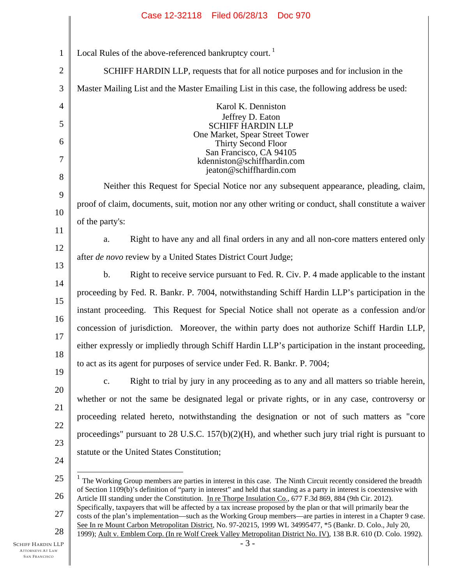## Case 12-32118 Filed 06/28/13 Doc 970

| $\mathbf{1}$      | Local Rules of the above-referenced bankruptcy court. <sup>1</sup>                                                                                                                                                                            |  |  |
|-------------------|-----------------------------------------------------------------------------------------------------------------------------------------------------------------------------------------------------------------------------------------------|--|--|
| $\mathbf{2}$      | SCHIFF HARDIN LLP, requests that for all notice purposes and for inclusion in the                                                                                                                                                             |  |  |
| 3                 | Master Mailing List and the Master Emailing List in this case, the following address be used:                                                                                                                                                 |  |  |
| $\overline{4}$    | Karol K. Denniston                                                                                                                                                                                                                            |  |  |
| 5                 | Jeffrey D. Eaton<br><b>SCHIFF HARDIN LLP</b>                                                                                                                                                                                                  |  |  |
| 6                 | One Market, Spear Street Tower<br>Thirty Second Floor                                                                                                                                                                                         |  |  |
| 7                 | San Francisco, CA 94105<br>kdenniston@schiffhardin.com                                                                                                                                                                                        |  |  |
| 8                 | jeaton@schiffhardin.com                                                                                                                                                                                                                       |  |  |
| 9                 | Neither this Request for Special Notice nor any subsequent appearance, pleading, claim,                                                                                                                                                       |  |  |
| 10                | proof of claim, documents, suit, motion nor any other writing or conduct, shall constitute a waiver                                                                                                                                           |  |  |
| 11                | of the party's:                                                                                                                                                                                                                               |  |  |
| 12                | Right to have any and all final orders in any and all non-core matters entered only<br>a.                                                                                                                                                     |  |  |
| 13                | after de novo review by a United States District Court Judge;                                                                                                                                                                                 |  |  |
| 14                | Right to receive service pursuant to Fed. R. Civ. P. 4 made applicable to the instant<br>$b$ .                                                                                                                                                |  |  |
| 15                | proceeding by Fed. R. Bankr. P. 7004, notwithstanding Schiff Hardin LLP's participation in the                                                                                                                                                |  |  |
| 16                | instant proceeding. This Request for Special Notice shall not operate as a confession and/or                                                                                                                                                  |  |  |
| 17                | concession of jurisdiction. Moreover, the within party does not authorize Schiff Hardin LLP,                                                                                                                                                  |  |  |
| 18                | either expressly or impliedly through Schiff Hardin LLP's participation in the instant proceeding,                                                                                                                                            |  |  |
| 19                | to act as its agent for purposes of service under Fed. R. Bankr. P. 7004;                                                                                                                                                                     |  |  |
| 20                | Right to trial by jury in any proceeding as to any and all matters so triable herein,<br>$\mathbf{c}$ .                                                                                                                                       |  |  |
| 21                | whether or not the same be designated legal or private rights, or in any case, controversy or                                                                                                                                                 |  |  |
| 22                | proceeding related hereto, notwithstanding the designation or not of such matters as "core                                                                                                                                                    |  |  |
| 23                | proceedings" pursuant to $28$ U.S.C. $157(b)(2)(H)$ , and whether such jury trial right is pursuant to                                                                                                                                        |  |  |
| 24                | statute or the United States Constitution;                                                                                                                                                                                                    |  |  |
|                   |                                                                                                                                                                                                                                               |  |  |
| 25                | The Working Group members are parties in interest in this case. The Ninth Circuit recently considered the breadth<br>of Section 1109(b)'s definition of "party in interest" and held that standing as a party in interest is coextensive with |  |  |
| 26                | Article III standing under the Constitution. In re Thorpe Insulation Co., 677 F.3d 869, 884 (9th Cir. 2012).<br>Specifically, taxpayers that will be affected by a tax increase proposed by the plan or that will primarily bear the          |  |  |
| 27                | costs of the plan's implementation—such as the Working Group members—are parties in interest in a Chapter 9 case.<br>See In re Mount Carbon Metropolitan District, No. 97-20215, 1999 WL 34995477, *5 (Bankr. D. Colo., July 20,              |  |  |
| 28<br>${\rm LLP}$ | 1999); Ault v. Emblem Corp. (In re Wolf Creek Valley Metropolitan District No. IV), 138 B.R. 610 (D. Colo. 1992).<br>$-3-$                                                                                                                    |  |  |

I